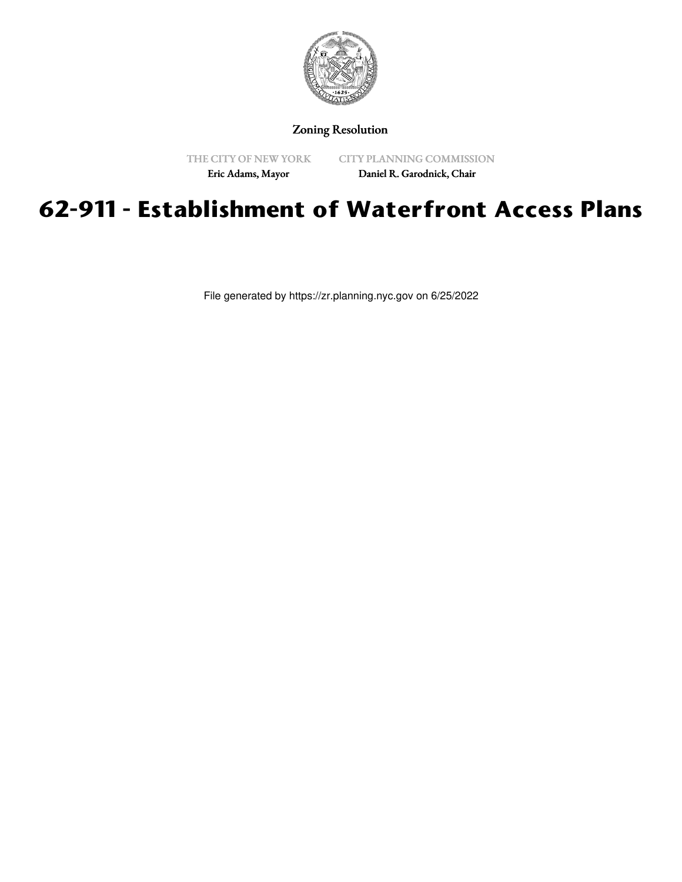

Zoning Resolution

THE CITY OF NEW YORK

CITY PLANNING COMMISSION

Eric Adams, Mayor

Daniel R. Garodnick, Chair

## **62-911 - Establishment of Waterfront Access Plans**

File generated by https://zr.planning.nyc.gov on 6/25/2022